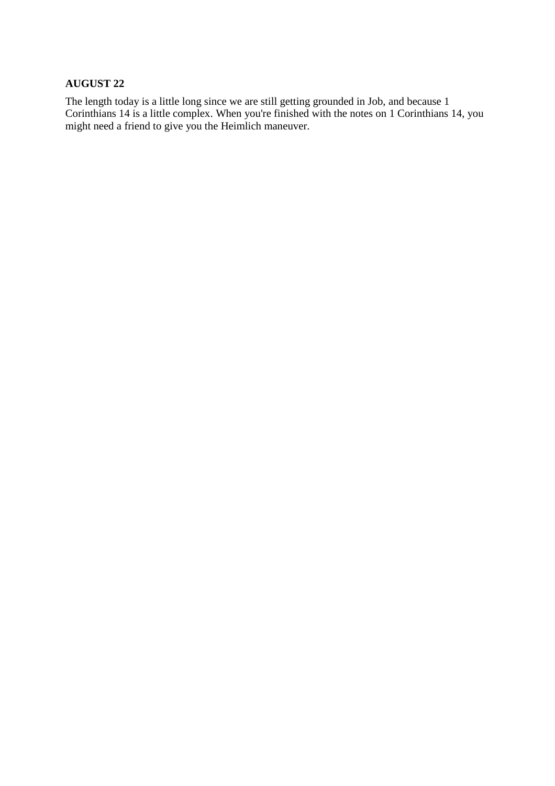### **AUGUST 22**

The length today is a little long since we are still getting grounded in Job, and because 1 Corinthians 14 is a little complex. When you're finished with the notes on 1 Corinthians 14, you might need a friend to give you the Heimlich maneuver.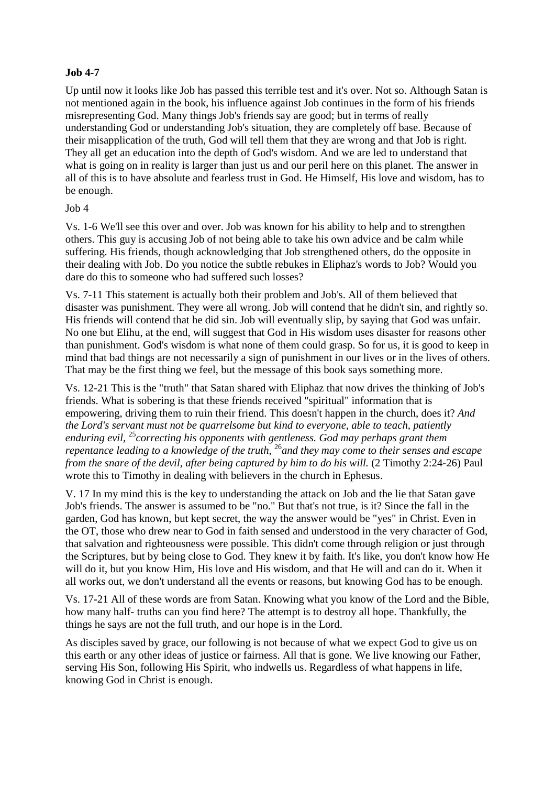## **Job 4-7**

Up until now it looks like Job has passed this terrible test and it's over. Not so. Although Satan is not mentioned again in the book, his influence against Job continues in the form of his friends misrepresenting God. Many things Job's friends say are good; but in terms of really understanding God or understanding Job's situation, they are completely off base. Because of their misapplication of the truth, God will tell them that they are wrong and that Job is right. They all get an education into the depth of God's wisdom. And we are led to understand that what is going on in reality is larger than just us and our peril here on this planet. The answer in all of this is to have absolute and fearless trust in God. He Himself, His love and wisdom, has to be enough.

#### Job 4

Vs. 1-6 We'll see this over and over. Job was known for his ability to help and to strengthen others. This guy is accusing Job of not being able to take his own advice and be calm while suffering. His friends, though acknowledging that Job strengthened others, do the opposite in their dealing with Job. Do you notice the subtle rebukes in Eliphaz's words to Job? Would you dare do this to someone who had suffered such losses?

Vs. 7-11 This statement is actually both their problem and Job's. All of them believed that disaster was punishment. They were all wrong. Job will contend that he didn't sin, and rightly so. His friends will contend that he did sin. Job will eventually slip, by saying that God was unfair. No one but Elihu, at the end, will suggest that God in His wisdom uses disaster for reasons other than punishment. God's wisdom is what none of them could grasp. So for us, it is good to keep in mind that bad things are not necessarily a sign of punishment in our lives or in the lives of others. That may be the first thing we feel, but the message of this book says something more.

Vs. 12-21 This is the "truth" that Satan shared with Eliphaz that now drives the thinking of Job's friends. What is sobering is that these friends received "spiritual" information that is empowering, driving them to ruin their friend. This doesn't happen in the church, does it? *And the Lord's servant must not be quarrelsome but kind to everyone, able to teach, patiently enduring evil,* <sup>25</sup>*correcting his opponents with gentleness. God may perhaps grant them repentance leading to a knowledge of the truth,* <sup>26</sup>*and they may come to their senses and escape from the snare of the devil, after being captured by him to do his will.* (2 Timothy 2:24-26) Paul wrote this to Timothy in dealing with believers in the church in Ephesus.

V. 17 In my mind this is the key to understanding the attack on Job and the lie that Satan gave Job's friends. The answer is assumed to be "no." But that's not true, is it? Since the fall in the garden, God has known, but kept secret, the way the answer would be "yes" in Christ. Even in the OT, those who drew near to God in faith sensed and understood in the very character of God, that salvation and righteousness were possible. This didn't come through religion or just through the Scriptures, but by being close to God. They knew it by faith. It's like, you don't know how He will do it, but you know Him, His love and His wisdom, and that He will and can do it. When it all works out, we don't understand all the events or reasons, but knowing God has to be enough.

Vs. 17-21 All of these words are from Satan. Knowing what you know of the Lord and the Bible, how many half- truths can you find here? The attempt is to destroy all hope. Thankfully, the things he says are not the full truth, and our hope is in the Lord.

As disciples saved by grace, our following is not because of what we expect God to give us on this earth or any other ideas of justice or fairness. All that is gone. We live knowing our Father, serving His Son, following His Spirit, who indwells us. Regardless of what happens in life, knowing God in Christ is enough.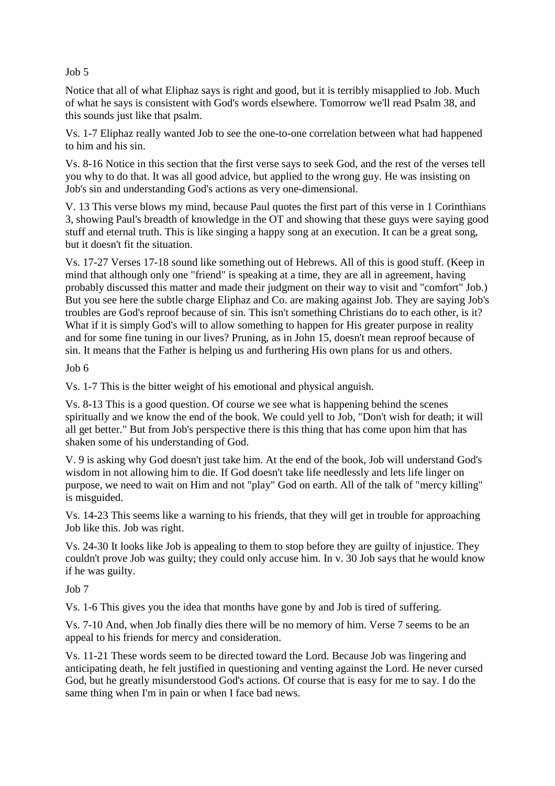Job 5

Notice that all of what Eliphaz says is right and good, but it is terribly misapplied to Job. Much of what he says is consistent with God's words elsewhere. Tomorrow we'll read Psalm 38, and this sounds just like that psalm.

Vs. 1-7 Eliphaz really wanted Job to see the one-to-one correlation between what had happened to him and his sin.

Vs. 8-16 Notice in this section that the first verse says to seek God, and the rest of the verses tell you why to do that. It was all good advice, but applied to the wrong guy. He was insisting on Job's sin and understanding God's actions as very one-dimensional.

V. 13 This verse blows my mind, because Paul quotes the first part of this verse in 1 Corinthians 3, showing Paul's breadth of knowledge in the OT and showing that these guys were saying good stuff and eternal truth. This is like singing a happy song at an execution. It can be a great song, but it doesn't fit the situation.

Vs. 17-27 Verses 17-18 sound like something out of Hebrews. All of this is good stuff. (Keep in mind that although only one "friend" is speaking at a time, they are all in agreement, having probably discussed this matter and made their judgment on their way to visit and "comfort" Job.) But you see here the subtle charge Eliphaz and Co. are making against Job. They are saying Job's troubles are God's reproof because of sin. This isn't something Christians do to each other, is it? What if it is simply God's will to allow something to happen for His greater purpose in reality and for some fine tuning in our lives? Pruning, as in John 15, doesn't mean reproof because of sin. It means that the Father is helping us and furthering His own plans for us and others.

Job 6

Vs. 1-7 This is the bitter weight of his emotional and physical anguish.

Vs. 8-13 This is a good question. Of course we see what is happening behind the scenes spiritually and we know the end of the book. We could yell to Job, "Don't wish for death; it will all get better." But from Job's perspective there is this thing that has come upon him that has shaken some of his understanding of God.

V. 9 is asking why God doesn't just take him. At the end of the book, Job will understand God's wisdom in not allowing him to die. If God doesn't take life needlessly and lets life linger on purpose, we need to wait on Him and not "play" God on earth. All of the talk of "mercy killing" is misguided.

Vs. 14-23 This seems like a warning to his friends, that they will get in trouble for approaching Job like this. Job was right.

Vs. 24-30 It looks like Job is appealing to them to stop before they are guilty of injustice. They couldn't prove Job was guilty; they could only accuse him. In v. 30 Job says that he would know if he was guilty.

Job 7

Vs. 1-6 This gives you the idea that months have gone by and Job is tired of suffering.

Vs. 7-10 And, when Job finally dies there will be no memory of him. Verse 7 seems to be an appeal to his friends for mercy and consideration.

Vs. 11-21 These words seem to be directed toward the Lord. Because Job was lingering and anticipating death, he felt justified in questioning and venting against the Lord. He never cursed God, but he greatly misunderstood God's actions. Of course that is easy for me to say. I do the same thing when I'm in pain or when I face bad news.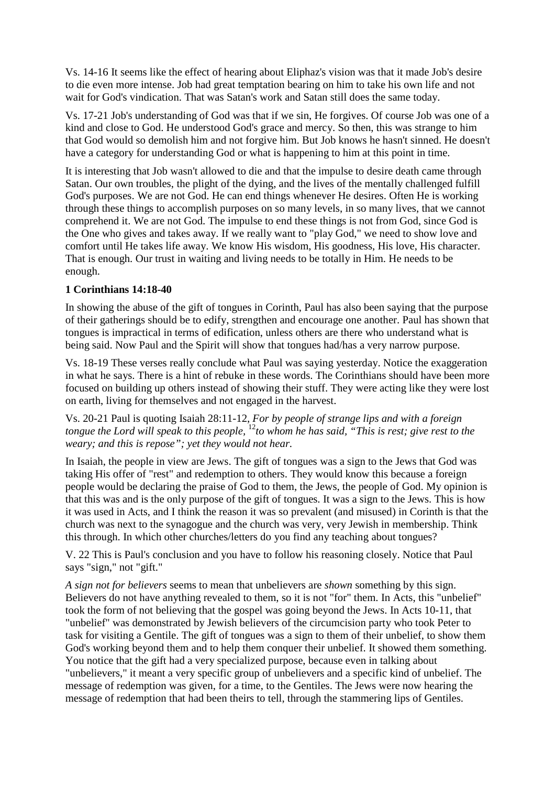Vs. 14-16 It seems like the effect of hearing about Eliphaz's vision was that it made Job's desire to die even more intense. Job had great temptation bearing on him to take his own life and not wait for God's vindication. That was Satan's work and Satan still does the same today.

Vs. 17-21 Job's understanding of God was that if we sin, He forgives. Of course Job was one of a kind and close to God. He understood God's grace and mercy. So then, this was strange to him that God would so demolish him and not forgive him. But Job knows he hasn't sinned. He doesn't have a category for understanding God or what is happening to him at this point in time.

It is interesting that Job wasn't allowed to die and that the impulse to desire death came through Satan. Our own troubles, the plight of the dying, and the lives of the mentally challenged fulfill God's purposes. We are not God. He can end things whenever He desires. Often He is working through these things to accomplish purposes on so many levels, in so many lives, that we cannot comprehend it. We are not God. The impulse to end these things is not from God, since God is the One who gives and takes away. If we really want to "play God," we need to show love and comfort until He takes life away. We know His wisdom, His goodness, His love, His character. That is enough. Our trust in waiting and living needs to be totally in Him. He needs to be enough.

#### **1 Corinthians 14:18-40**

In showing the abuse of the gift of tongues in Corinth, Paul has also been saying that the purpose of their gatherings should be to edify, strengthen and encourage one another. Paul has shown that tongues is impractical in terms of edification, unless others are there who understand what is being said. Now Paul and the Spirit will show that tongues had/has a very narrow purpose.

Vs. 18-19 These verses really conclude what Paul was saying yesterday. Notice the exaggeration in what he says. There is a hint of rebuke in these words. The Corinthians should have been more focused on building up others instead of showing their stuff. They were acting like they were lost on earth, living for themselves and not engaged in the harvest.

Vs. 20-21 Paul is quoting Isaiah 28:11-12, *For by people of strange lips and with a foreign tongue the Lord will speak to this people,* <sup>12</sup>*to whom he has said, "This is rest; give rest to the weary; and this is repose"; yet they would not hear.* 

In Isaiah, the people in view are Jews. The gift of tongues was a sign to the Jews that God was taking His offer of "rest" and redemption to others. They would know this because a foreign people would be declaring the praise of God to them, the Jews, the people of God. My opinion is that this was and is the only purpose of the gift of tongues. It was a sign to the Jews. This is how it was used in Acts, and I think the reason it was so prevalent (and misused) in Corinth is that the church was next to the synagogue and the church was very, very Jewish in membership. Think this through. In which other churches/letters do you find any teaching about tongues?

V. 22 This is Paul's conclusion and you have to follow his reasoning closely. Notice that Paul says "sign," not "gift."

*A sign not for believers* seems to mean that unbelievers are *shown* something by this sign. Believers do not have anything revealed to them, so it is not "for" them. In Acts, this "unbelief" took the form of not believing that the gospel was going beyond the Jews. In Acts 10-11, that "unbelief" was demonstrated by Jewish believers of the circumcision party who took Peter to task for visiting a Gentile. The gift of tongues was a sign to them of their unbelief, to show them God's working beyond them and to help them conquer their unbelief. It showed them something. You notice that the gift had a very specialized purpose, because even in talking about "unbelievers," it meant a very specific group of unbelievers and a specific kind of unbelief. The message of redemption was given, for a time, to the Gentiles. The Jews were now hearing the message of redemption that had been theirs to tell, through the stammering lips of Gentiles.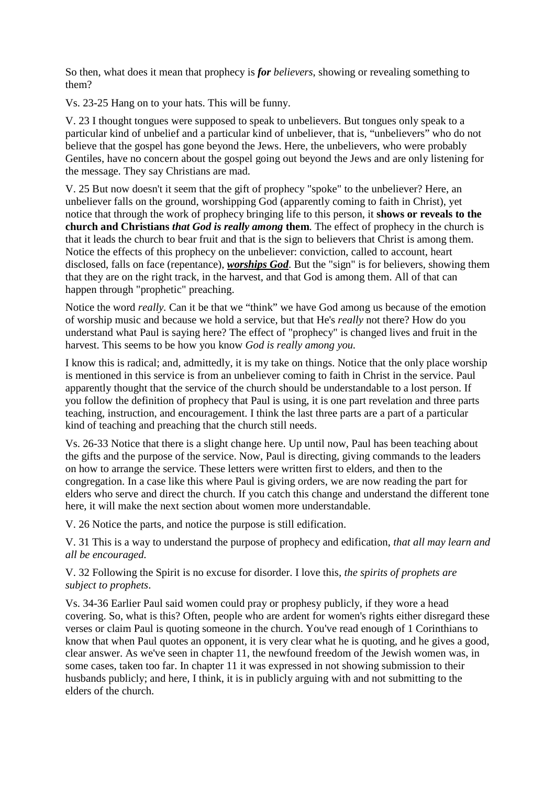So then, what does it mean that prophecy is *for believers*, showing or revealing something to them?

Vs. 23-25 Hang on to your hats. This will be funny.

V. 23 I thought tongues were supposed to speak to unbelievers. But tongues only speak to a particular kind of unbelief and a particular kind of unbeliever, that is, "unbelievers" who do not believe that the gospel has gone beyond the Jews. Here, the unbelievers, who were probably Gentiles, have no concern about the gospel going out beyond the Jews and are only listening for the message. They say Christians are mad.

V. 25 But now doesn't it seem that the gift of prophecy "spoke" to the unbeliever? Here, an unbeliever falls on the ground, worshipping God (apparently coming to faith in Christ), yet notice that through the work of prophecy bringing life to this person, it **shows or reveals to the church and Christians** *that God is really among* **them**. The effect of prophecy in the church is that it leads the church to bear fruit and that is the sign to believers that Christ is among them. Notice the effects of this prophecy on the unbeliever: conviction, called to account, heart disclosed, falls on face (repentance), *worships God*. But the "sign" is for believers, showing them that they are on the right track, in the harvest, and that God is among them. All of that can happen through "prophetic" preaching.

Notice the word *really.* Can it be that we "think" we have God among us because of the emotion of worship music and because we hold a service, but that He's *really* not there? How do you understand what Paul is saying here? The effect of "prophecy" is changed lives and fruit in the harvest. This seems to be how you know *God is really among you.* 

I know this is radical; and, admittedly, it is my take on things. Notice that the only place worship is mentioned in this service is from an unbeliever coming to faith in Christ in the service. Paul apparently thought that the service of the church should be understandable to a lost person. If you follow the definition of prophecy that Paul is using, it is one part revelation and three parts teaching, instruction, and encouragement. I think the last three parts are a part of a particular kind of teaching and preaching that the church still needs.

Vs. 26-33 Notice that there is a slight change here. Up until now, Paul has been teaching about the gifts and the purpose of the service. Now, Paul is directing, giving commands to the leaders on how to arrange the service. These letters were written first to elders, and then to the congregation. In a case like this where Paul is giving orders, we are now reading the part for elders who serve and direct the church. If you catch this change and understand the different tone here, it will make the next section about women more understandable.

V. 26 Notice the parts, and notice the purpose is still edification.

V. 31 This is a way to understand the purpose of prophecy and edification, *that all may learn and all be encouraged.* 

V. 32 Following the Spirit is no excuse for disorder. I love this*, the spirits of prophets are subject to prophets*.

Vs. 34-36 Earlier Paul said women could pray or prophesy publicly, if they wore a head covering. So, what is this? Often, people who are ardent for women's rights either disregard these verses or claim Paul is quoting someone in the church. You've read enough of 1 Corinthians to know that when Paul quotes an opponent, it is very clear what he is quoting, and he gives a good, clear answer. As we've seen in chapter 11, the newfound freedom of the Jewish women was, in some cases, taken too far. In chapter 11 it was expressed in not showing submission to their husbands publicly; and here, I think, it is in publicly arguing with and not submitting to the elders of the church.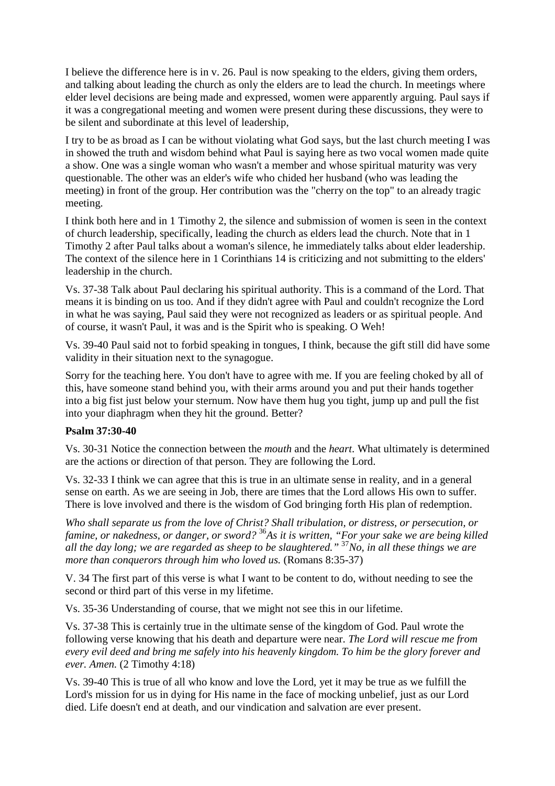I believe the difference here is in v. 26. Paul is now speaking to the elders, giving them orders, and talking about leading the church as only the elders are to lead the church. In meetings where elder level decisions are being made and expressed, women were apparently arguing. Paul says if it was a congregational meeting and women were present during these discussions, they were to be silent and subordinate at this level of leadership,

I try to be as broad as I can be without violating what God says, but the last church meeting I was in showed the truth and wisdom behind what Paul is saying here as two vocal women made quite a show. One was a single woman who wasn't a member and whose spiritual maturity was very questionable. The other was an elder's wife who chided her husband (who was leading the meeting) in front of the group. Her contribution was the "cherry on the top" to an already tragic meeting.

I think both here and in 1 Timothy 2, the silence and submission of women is seen in the context of church leadership, specifically, leading the church as elders lead the church. Note that in 1 Timothy 2 after Paul talks about a woman's silence, he immediately talks about elder leadership. The context of the silence here in 1 Corinthians 14 is criticizing and not submitting to the elders' leadership in the church.

Vs. 37-38 Talk about Paul declaring his spiritual authority. This is a command of the Lord. That means it is binding on us too. And if they didn't agree with Paul and couldn't recognize the Lord in what he was saying, Paul said they were not recognized as leaders or as spiritual people. And of course, it wasn't Paul, it was and is the Spirit who is speaking. O Weh!

Vs. 39-40 Paul said not to forbid speaking in tongues, I think, because the gift still did have some validity in their situation next to the synagogue.

Sorry for the teaching here. You don't have to agree with me. If you are feeling choked by all of this, have someone stand behind you, with their arms around you and put their hands together into a big fist just below your sternum. Now have them hug you tight, jump up and pull the fist into your diaphragm when they hit the ground. Better?

#### **Psalm 37:30-40**

Vs. 30-31 Notice the connection between the *mouth* and the *heart*. What ultimately is determined are the actions or direction of that person. They are following the Lord.

Vs. 32-33 I think we can agree that this is true in an ultimate sense in reality, and in a general sense on earth. As we are seeing in Job, there are times that the Lord allows His own to suffer. There is love involved and there is the wisdom of God bringing forth His plan of redemption.

*Who shall separate us from the love of Christ? Shall tribulation, or distress, or persecution, or famine, or nakedness, or danger, or sword?* <sup>36</sup>*As it is written, "For your sake we are being killed all the day long; we are regarded as sheep to be slaughtered."* <sup>37</sup>*No, in all these things we are more than conquerors through him who loved us.* (Romans 8:35-37)

V. 34 The first part of this verse is what I want to be content to do, without needing to see the second or third part of this verse in my lifetime.

Vs. 35-36 Understanding of course, that we might not see this in our lifetime.

Vs. 37-38 This is certainly true in the ultimate sense of the kingdom of God. Paul wrote the following verse knowing that his death and departure were near. *The Lord will rescue me from every evil deed and bring me safely into his heavenly kingdom. To him be the glory forever and ever. Amen.* (2 Timothy 4:18)

Vs. 39-40 This is true of all who know and love the Lord, yet it may be true as we fulfill the Lord's mission for us in dying for His name in the face of mocking unbelief, just as our Lord died. Life doesn't end at death, and our vindication and salvation are ever present.